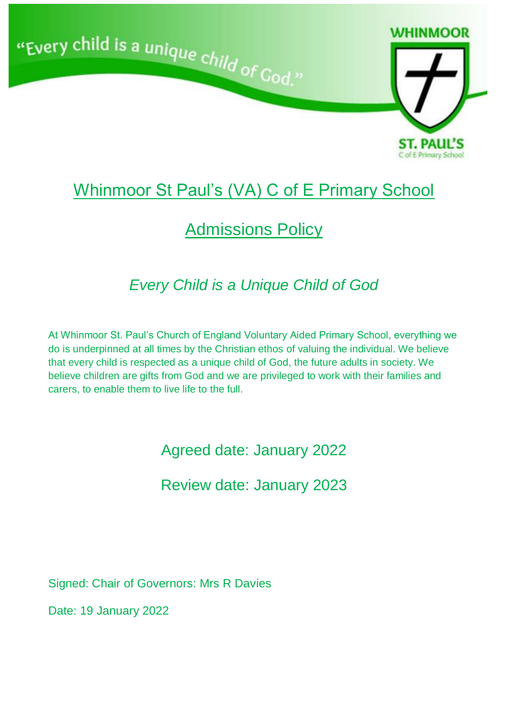

# Whinmoor St Paul's (VA) C of E Primary School

# Admissions Policy

# *Every Child is a Unique Child of God*

At Whinmoor St. Paul's Church of England Voluntary Aided Primary School, everything we do is underpinned at all times by the Christian ethos of valuing the individual. We believe that every child is respected as a unique child of God, the future adults in society. We believe children are gifts from God and we are privileged to work with their families and carers, to enable them to live life to the full.

Agreed date: January 2022

Review date: January 2023

Signed: Chair of Governors: Mrs R Davies

Date: 19 January 2022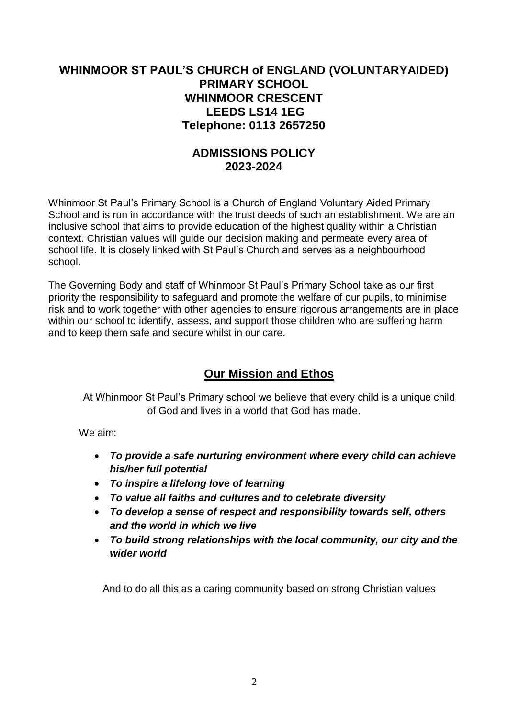# **WHINMOOR ST PAUL'S CHURCH of ENGLAND (VOLUNTARYAIDED) PRIMARY SCHOOL WHINMOOR CRESCENT LEEDS LS14 1EG Telephone: 0113 2657250**

## **ADMISSIONS POLICY 2023-2024**

Whinmoor St Paul's Primary School is a Church of England Voluntary Aided Primary School and is run in accordance with the trust deeds of such an establishment. We are an inclusive school that aims to provide education of the highest quality within a Christian context. Christian values will guide our decision making and permeate every area of school life. It is closely linked with St Paul's Church and serves as a neighbourhood school.

The Governing Body and staff of Whinmoor St Paul's Primary School take as our first priority the responsibility to safeguard and promote the welfare of our pupils, to minimise risk and to work together with other agencies to ensure rigorous arrangements are in place within our school to identify, assess, and support those children who are suffering harm and to keep them safe and secure whilst in our care.

# **Our Mission and Ethos**

At Whinmoor St Paul's Primary school we believe that every child is a unique child of God and lives in a world that God has made.

We aim:

- *To provide a safe nurturing environment where every child can achieve his/her full potential*
- *To inspire a lifelong love of learning*
- *To value all faiths and cultures and to celebrate diversity*
- *To develop a sense of respect and responsibility towards self, others and the world in which we live*
- *To build strong relationships with the local community, our city and the wider world*

And to do all this as a caring community based on strong Christian values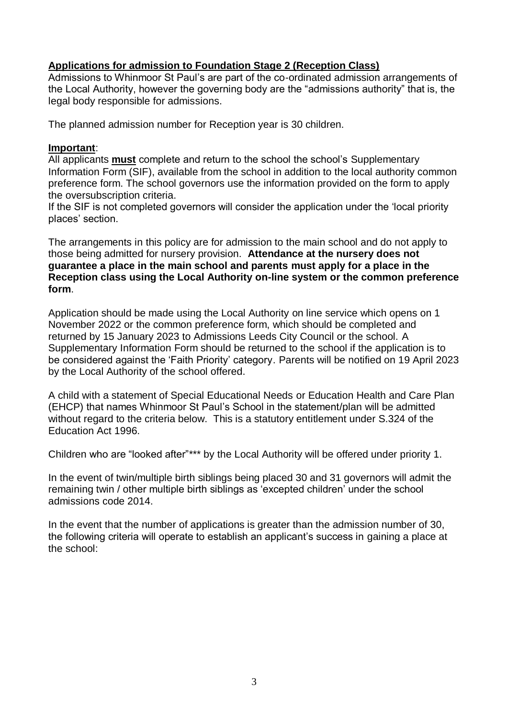### **Applications for admission to Foundation Stage 2 (Reception Class)**

Admissions to Whinmoor St Paul's are part of the co-ordinated admission arrangements of the Local Authority, however the governing body are the "admissions authority" that is, the legal body responsible for admissions.

The planned admission number for Reception year is 30 children.

### **Important**:

All applicants **must** complete and return to the school the school's Supplementary Information Form (SIF), available from the school in addition to the local authority common preference form. The school governors use the information provided on the form to apply the oversubscription criteria.

If the SIF is not completed governors will consider the application under the 'local priority places' section.

The arrangements in this policy are for admission to the main school and do not apply to those being admitted for nursery provision. **Attendance at the nursery does not guarantee a place in the main school and parents must apply for a place in the Reception class using the Local Authority on-line system or the common preference form**.

Application should be made using the Local Authority on line service which opens on 1 November 2022 or the common preference form, which should be completed and returned by 15 January 2023 to Admissions Leeds City Council or the school. A Supplementary Information Form should be returned to the school if the application is to be considered against the 'Faith Priority' category. Parents will be notified on 19 April 2023 by the Local Authority of the school offered.

A child with a statement of Special Educational Needs or Education Health and Care Plan (EHCP) that names Whinmoor St Paul's School in the statement/plan will be admitted without regard to the criteria below. This is a statutory entitlement under S.324 of the Education Act 1996.

Children who are "looked after"\*\*\* by the Local Authority will be offered under priority 1.

In the event of twin/multiple birth siblings being placed 30 and 31 governors will admit the remaining twin / other multiple birth siblings as 'excepted children' under the school admissions code 2014.

In the event that the number of applications is greater than the admission number of 30, the following criteria will operate to establish an applicant's success in gaining a place at the school: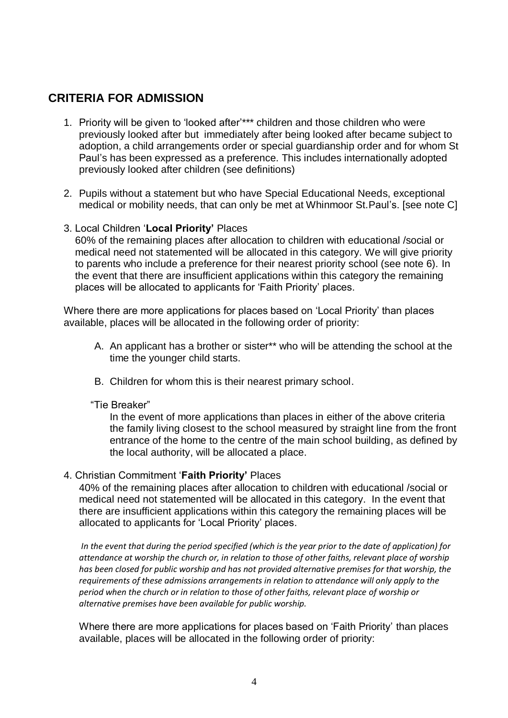# **CRITERIA FOR ADMISSION**

- 1. Priority will be given to 'looked after'\*\*\* children and those children who were previously looked after but immediately after being looked after became subject to adoption, a child arrangements order or special guardianship order and for whom St Paul's has been expressed as a preference. This includes internationally adopted previously looked after children (see definitions)
- 2. Pupils without a statement but who have Special Educational Needs, exceptional medical or mobility needs, that can only be met at Whinmoor St.Paul's. [see note C]
- 3. Local Children '**Local Priority'** Places

 60% of the remaining places after allocation to children with educational /social or medical need not statemented will be allocated in this category. We will give priority to parents who include a preference for their nearest priority school (see note 6). In the event that there are insufficient applications within this category the remaining places will be allocated to applicants for 'Faith Priority' places.

Where there are more applications for places based on 'Local Priority' than places available, places will be allocated in the following order of priority:

- A. An applicant has a brother or sister\*\* who will be attending the school at the time the younger child starts.
- B. Children for whom this is their nearest primary school.

#### "Tie Breaker"

In the event of more applications than places in either of the above criteria the family living closest to the school measured by straight line from the front entrance of the home to the centre of the main school building, as defined by the local authority, will be allocated a place.

### 4. Christian Commitment '**Faith Priority'** Places

40% of the remaining places after allocation to children with educational /social or medical need not statemented will be allocated in this category. In the event that there are insufficient applications within this category the remaining places will be allocated to applicants for 'Local Priority' places.

*In the event that during the period specified (which is the year prior to the date of application) for attendance at worship the church or, in relation to those of other faiths, relevant place of worship has been closed for public worship and has not provided alternative premises for that worship, the requirements of these admissions arrangements in relation to attendance will only apply to the period when the church or in relation to those of other faiths, relevant place of worship or alternative premises have been available for public worship.*

Where there are more applications for places based on 'Faith Priority' than places available, places will be allocated in the following order of priority: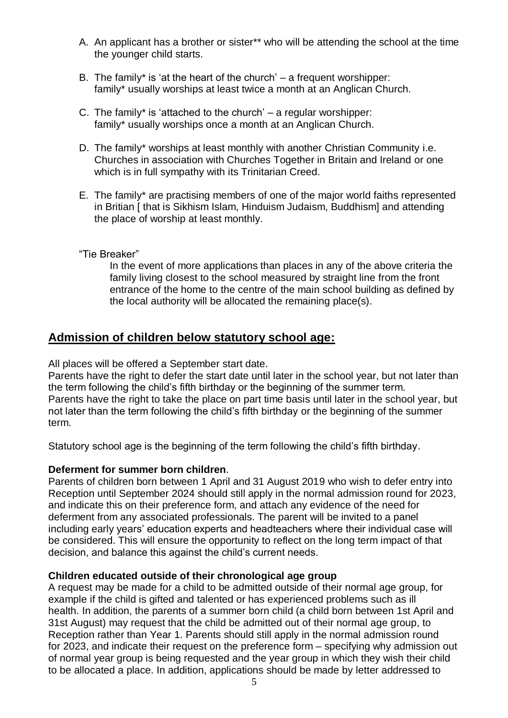- A. An applicant has a brother or sister\*\* who will be attending the school at the time the younger child starts.
- B. The family\* is 'at the heart of the church'  $-$  a frequent worshipper: family\* usually worships at least twice a month at an Anglican Church.
- C. The family\* is 'attached to the church'  $-$  a regular worshipper: family\* usually worships once a month at an Anglican Church.
- D. The family\* worships at least monthly with another Christian Community i.e. Churches in association with Churches Together in Britain and Ireland or one which is in full sympathy with its Trinitarian Creed.
- E. The family\* are practising members of one of the major world faiths represented in Britian [ that is Sikhism Islam, Hinduism Judaism, Buddhism] and attending the place of worship at least monthly.
- "Tie Breaker"

In the event of more applications than places in any of the above criteria the family living closest to the school measured by straight line from the front entrance of the home to the centre of the main school building as defined by the local authority will be allocated the remaining place(s).

## **Admission of children below statutory school age:**

All places will be offered a September start date.

Parents have the right to defer the start date until later in the school year, but not later than the term following the child's fifth birthday or the beginning of the summer term. Parents have the right to take the place on part time basis until later in the school year, but not later than the term following the child's fifth birthday or the beginning of the summer term.

Statutory school age is the beginning of the term following the child's fifth birthday.

### **Deferment for summer born children**.

Parents of children born between 1 April and 31 August 2019 who wish to defer entry into Reception until September 2024 should still apply in the normal admission round for 2023, and indicate this on their preference form, and attach any evidence of the need for deferment from any associated professionals. The parent will be invited to a panel including early years' education experts and headteachers where their individual case will be considered. This will ensure the opportunity to reflect on the long term impact of that decision, and balance this against the child's current needs.

### **Children educated outside of their chronological age group**

A request may be made for a child to be admitted outside of their normal age group, for example if the child is gifted and talented or has experienced problems such as ill health. In addition, the parents of a summer born child (a child born between 1st April and 31st August) may request that the child be admitted out of their normal age group, to Reception rather than Year 1. Parents should still apply in the normal admission round for 2023, and indicate their request on the preference form – specifying why admission out of normal year group is being requested and the year group in which they wish their child to be allocated a place. In addition, applications should be made by letter addressed to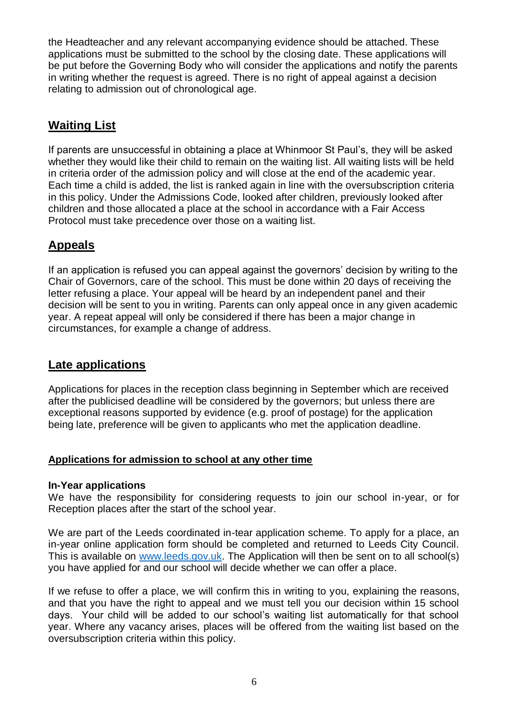the Headteacher and any relevant accompanying evidence should be attached. These applications must be submitted to the school by the closing date. These applications will be put before the Governing Body who will consider the applications and notify the parents in writing whether the request is agreed. There is no right of appeal against a decision relating to admission out of chronological age.

# **Waiting List**

If parents are unsuccessful in obtaining a place at Whinmoor St Paul's, they will be asked whether they would like their child to remain on the waiting list. All waiting lists will be held in criteria order of the admission policy and will close at the end of the academic year. Each time a child is added, the list is ranked again in line with the oversubscription criteria in this policy. Under the Admissions Code, looked after children, previously looked after children and those allocated a place at the school in accordance with a Fair Access Protocol must take precedence over those on a waiting list.

# **Appeals**

If an application is refused you can appeal against the governors' decision by writing to the Chair of Governors, care of the school. This must be done within 20 days of receiving the letter refusing a place. Your appeal will be heard by an independent panel and their decision will be sent to you in writing. Parents can only appeal once in any given academic year. A repeat appeal will only be considered if there has been a major change in circumstances, for example a change of address.

# **Late applications**

Applications for places in the reception class beginning in September which are received after the publicised deadline will be considered by the governors; but unless there are exceptional reasons supported by evidence (e.g. proof of postage) for the application being late, preference will be given to applicants who met the application deadline.

## **Applications for admission to school at any other time**

### **In-Year applications**

We have the responsibility for considering requests to join our school in-year, or for Reception places after the start of the school year.

We are part of the Leeds coordinated in-tear application scheme. To apply for a place, an in-year online application form should be completed and returned to Leeds City Council. This is available on [www.leeds.gov.uk.](http://www.leeds.gov.uk/) The Application will then be sent on to all school(s) you have applied for and our school will decide whether we can offer a place.

If we refuse to offer a place, we will confirm this in writing to you, explaining the reasons, and that you have the right to appeal and we must tell you our decision within 15 school days. Your child will be added to our school's waiting list automatically for that school year. Where any vacancy arises, places will be offered from the waiting list based on the oversubscription criteria within this policy.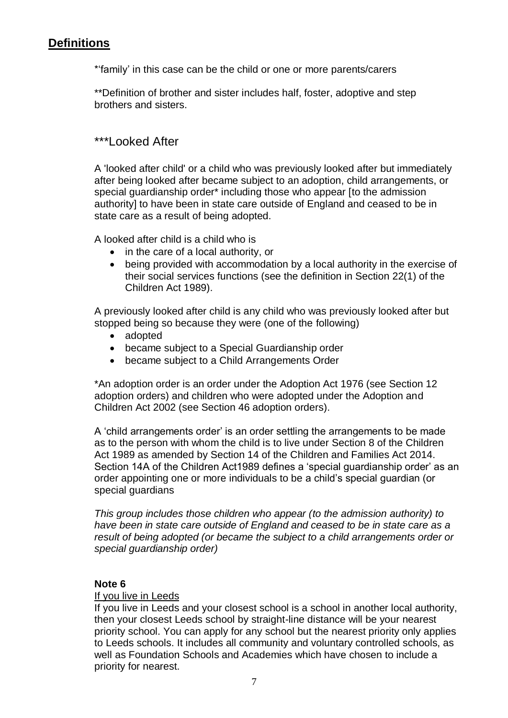# **Definitions**

\*'family' in this case can be the child or one or more parents/carers

\*\*Definition of brother and sister includes half, foster, adoptive and step brothers and sisters.

# \*\*\*Looked After

A 'looked after child' or a child who was previously looked after but immediately after being looked after became subject to an adoption, child arrangements, or special guardianship order\* including those who appear [to the admission authority] to have been in state care outside of England and ceased to be in state care as a result of being adopted.

A looked after child is a child who is

- in the care of a local authority, or
- being provided with accommodation by a local authority in the exercise of their social services functions (see the definition in Section 22(1) of the Children Act 1989).

A previously looked after child is any child who was previously looked after but stopped being so because they were (one of the following)

- adopted
- became subject to a Special Guardianship order
- became subject to a Child Arrangements Order

\*An adoption order is an order under the Adoption Act 1976 (see Section 12 adoption orders) and children who were adopted under the Adoption and Children Act 2002 (see Section 46 adoption orders).

A 'child arrangements order' is an order settling the arrangements to be made as to the person with whom the child is to live under Section 8 of the Children Act 1989 as amended by Section 14 of the Children and Families Act 2014. Section 14A of the Children Act1989 defines a 'special guardianship order' as an order appointing one or more individuals to be a child's special guardian (or special guardians

*This group includes those children who appear (to the admission authority) to have been in state care outside of England and ceased to be in state care as a result of being adopted (or became the subject to a child arrangements order or special guardianship order)*

### **Note 6**

### If you live in Leeds

If you live in Leeds and your closest school is a school in another local authority, then your closest Leeds school by straight-line distance will be your nearest priority school. You can apply for any school but the nearest priority only applies to Leeds schools. It includes all community and voluntary controlled schools, as well as Foundation Schools and Academies which have chosen to include a priority for nearest.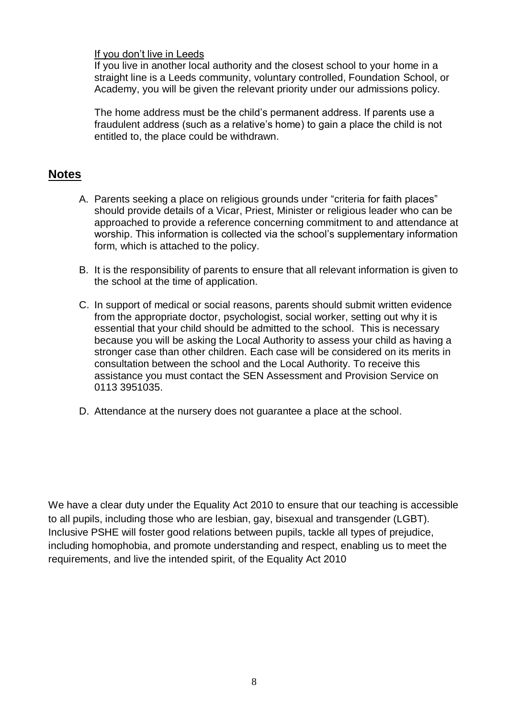### If you don't live in Leeds

If you live in another local authority and the closest school to your home in a straight line is a Leeds community, voluntary controlled, Foundation School, or Academy, you will be given the relevant priority under our admissions policy.

The home address must be the child's permanent address. If parents use a fraudulent address (such as a relative's home) to gain a place the child is not entitled to, the place could be withdrawn.

## **Notes**

- A. Parents seeking a place on religious grounds under "criteria for faith places" should provide details of a Vicar, Priest, Minister or religious leader who can be approached to provide a reference concerning commitment to and attendance at worship. This information is collected via the school's supplementary information form, which is attached to the policy.
- B. It is the responsibility of parents to ensure that all relevant information is given to the school at the time of application.
- C. In support of medical or social reasons, parents should submit written evidence from the appropriate doctor, psychologist, social worker, setting out why it is essential that your child should be admitted to the school. This is necessary because you will be asking the Local Authority to assess your child as having a stronger case than other children. Each case will be considered on its merits in consultation between the school and the Local Authority. To receive this assistance you must contact the SEN Assessment and Provision Service on 0113 3951035.
- D. Attendance at the nursery does not guarantee a place at the school.

We have a clear duty under the Equality Act 2010 to ensure that our teaching is accessible to all pupils, including those who are lesbian, gay, bisexual and transgender (LGBT). Inclusive PSHE will foster good relations between pupils, tackle all types of prejudice, including homophobia, and promote understanding and respect, enabling us to meet the requirements, and live the intended spirit, of the Equality Act 2010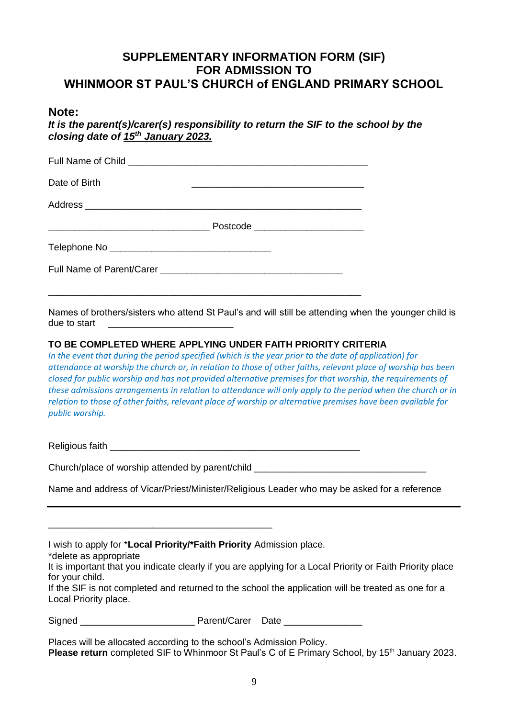## **SUPPLEMENTARY INFORMATION FORM (SIF) FOR ADMISSION TO WHINMOOR ST PAUL'S CHURCH of ENGLAND PRIMARY SCHOOL**

### **Note:**

*It is the parent(s)/carer(s) responsibility to return the SIF to the school by the closing date of 15 th January 2023.*

| Date of Birth |                                  |
|---------------|----------------------------------|
|               |                                  |
|               | Postcode _______________________ |
|               |                                  |
|               |                                  |

Names of brothers/sisters who attend St Paul's and will still be attending when the younger child is due to start

### **TO BE COMPLETED WHERE APPLYING UNDER FAITH PRIORITY CRITERIA**

*In the event that during the period specified (which is the year prior to the date of application) for attendance at worship the church or, in relation to those of other faiths, relevant place of worship has been closed for public worship and has not provided alternative premises for that worship, the requirements of these admissions arrangements in relation to attendance will only apply to the period when the church or in relation to those of other faiths, relevant place of worship or alternative premises have been available for public worship.*

Religious faith **Exercise 1999** 

Church/place of worship attended by parent/child \_\_\_\_\_\_\_\_\_\_\_\_\_\_\_\_\_\_\_\_\_\_\_\_\_\_\_\_\_\_\_

\_\_\_\_\_\_\_\_\_\_\_\_\_\_\_\_\_\_\_\_\_\_\_\_\_\_\_\_\_\_\_\_\_\_\_\_\_\_\_\_\_\_\_

Name and address of Vicar/Priest/Minister/Religious Leader who may be asked for a reference

| I wish to apply for *Local Priority/*Faith Priority Admission place. |  |  |  |  |  |
|----------------------------------------------------------------------|--|--|--|--|--|
|----------------------------------------------------------------------|--|--|--|--|--|

\*delete as appropriate

It is important that you indicate clearly if you are applying for a Local Priority or Faith Priority place for your child.

If the SIF is not completed and returned to the school the application will be treated as one for a Local Priority place.

Signed **Signed Parent/Carer Date** 2

Places will be allocated according to the school's Admission Policy. **Please return** completed SIF to Whinmoor St Paul's C of E Primary School, by 15<sup>th</sup> January 2023.